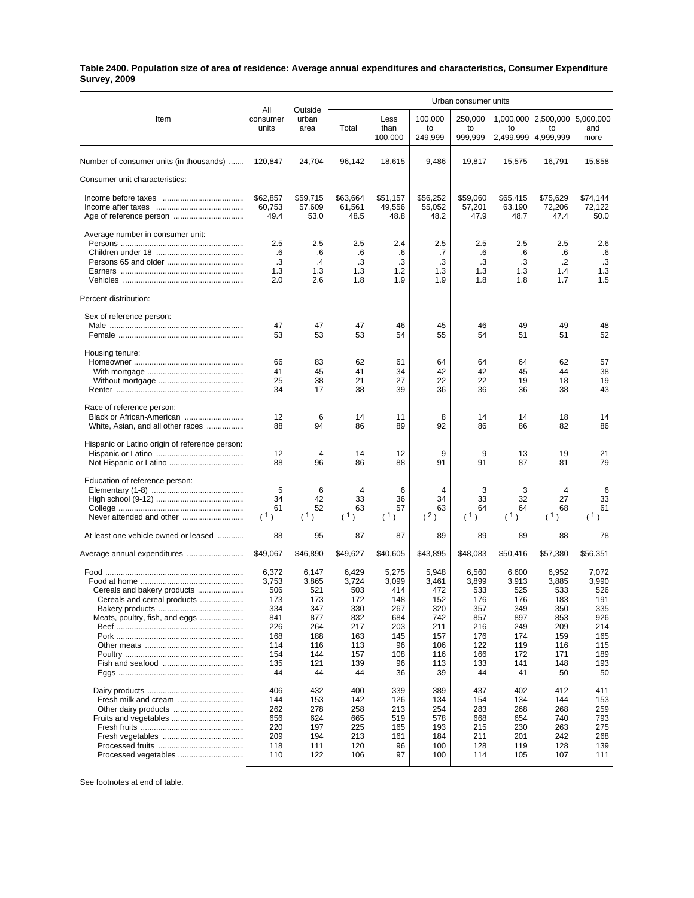## **Table 2400. Population size of area of residence: Average annual expenditures and characteristics, Consumer Expenditure Survey, 2009**

|                                                                                              |                                                                                     |                                                                                     | Urban consumer units                                                                |                                                                                   |                                                                                     |                                                                                     |                                                                                     |                                                                                     |                                                                                     |  |
|----------------------------------------------------------------------------------------------|-------------------------------------------------------------------------------------|-------------------------------------------------------------------------------------|-------------------------------------------------------------------------------------|-----------------------------------------------------------------------------------|-------------------------------------------------------------------------------------|-------------------------------------------------------------------------------------|-------------------------------------------------------------------------------------|-------------------------------------------------------------------------------------|-------------------------------------------------------------------------------------|--|
| Item                                                                                         | All<br>consumer<br>units                                                            | Outside<br>urban<br>area                                                            | Total                                                                               | Less<br>than<br>100,000                                                           | 100,000<br>to<br>249,999                                                            | 250,000<br>to<br>999,999                                                            | to                                                                                  | 1,000,000   2,500,000<br>to<br>2,499,999   4,999,999                                | 5,000,000<br>and<br>more                                                            |  |
| Number of consumer units (in thousands)                                                      | 120,847                                                                             | 24,704                                                                              | 96,142                                                                              | 18,615                                                                            | 9,486                                                                               | 19,817                                                                              | 15,575                                                                              | 16,791                                                                              | 15,858                                                                              |  |
| Consumer unit characteristics:                                                               |                                                                                     |                                                                                     |                                                                                     |                                                                                   |                                                                                     |                                                                                     |                                                                                     |                                                                                     |                                                                                     |  |
|                                                                                              | \$62,857<br>60,753<br>49.4                                                          | \$59,715<br>57,609<br>53.0                                                          | \$63,664<br>61,561<br>48.5                                                          | \$51,157<br>49,556<br>48.8                                                        | \$56,252<br>55,052<br>48.2                                                          | \$59,060<br>57,201<br>47.9                                                          | \$65,415<br>63,190<br>48.7                                                          | \$75,629<br>72,206<br>47.4                                                          | \$74,144<br>72,122<br>50.0                                                          |  |
| Average number in consumer unit:                                                             | 2.5<br>.6<br>.3<br>1.3<br>2.0                                                       | 2.5<br>.6<br>$\cdot$<br>1.3<br>2.6                                                  | 2.5<br>.6<br>.3<br>1.3<br>1.8                                                       | 2.4<br>.6<br>.3<br>1.2<br>1.9                                                     | 2.5<br>.7<br>.3<br>1.3<br>1.9                                                       | 2.5<br>.6<br>.3<br>1.3<br>1.8                                                       | 2.5<br>.6<br>.3<br>1.3<br>1.8                                                       | 2.5<br>.6<br>$\cdot$<br>1.4<br>1.7                                                  | 2.6<br>.6<br>.3<br>1.3<br>1.5                                                       |  |
| Percent distribution:                                                                        |                                                                                     |                                                                                     |                                                                                     |                                                                                   |                                                                                     |                                                                                     |                                                                                     |                                                                                     |                                                                                     |  |
| Sex of reference person:                                                                     | 47<br>53                                                                            | 47<br>53                                                                            | 47<br>53                                                                            | 46<br>54                                                                          | 45<br>55                                                                            | 46<br>54                                                                            | 49<br>51                                                                            | 49<br>51                                                                            | 48<br>52                                                                            |  |
| Housing tenure:                                                                              | 66<br>41<br>25<br>34                                                                | 83<br>45<br>38<br>17                                                                | 62<br>41<br>21<br>38                                                                | 61<br>34<br>27<br>39                                                              | 64<br>42<br>22<br>36                                                                | 64<br>42<br>22<br>36                                                                | 64<br>45<br>19<br>36                                                                | 62<br>44<br>18<br>38                                                                | 57<br>38<br>19<br>43                                                                |  |
| Race of reference person:<br>Black or African-American<br>White, Asian, and all other races  | 12<br>88                                                                            | 6<br>94                                                                             | 14<br>86                                                                            | 11<br>89                                                                          | 8<br>92                                                                             | 14<br>86                                                                            | 14<br>86                                                                            | 18<br>82                                                                            | 14<br>86                                                                            |  |
| Hispanic or Latino origin of reference person:                                               | 12<br>88                                                                            | 4<br>96                                                                             | 14<br>86                                                                            | 12<br>88                                                                          | 9<br>91                                                                             | 9<br>91                                                                             | 13<br>87                                                                            | 19<br>81                                                                            | 21<br>79                                                                            |  |
| Education of reference person:                                                               | 5<br>34<br>61<br>(1)                                                                | 6<br>42<br>52<br>(1)                                                                | 4<br>33<br>63<br>(1)                                                                | 6<br>36<br>57<br>(1)                                                              | 4<br>34<br>63<br>(2)                                                                | 3<br>33<br>64<br>(1)                                                                | 3<br>32<br>64<br>(1)                                                                | 4<br>27<br>68<br>(1)                                                                | 6<br>33<br>61<br>(1)                                                                |  |
| At least one vehicle owned or leased                                                         | 88                                                                                  | 95                                                                                  | 87                                                                                  | 87                                                                                | 89                                                                                  | 89                                                                                  | 89                                                                                  | 88                                                                                  | 78                                                                                  |  |
| Average annual expenditures                                                                  | \$49,067                                                                            | \$46,890                                                                            | \$49,627                                                                            | \$40,605                                                                          | \$43,895                                                                            | \$48,083                                                                            | \$50,416                                                                            | \$57,380                                                                            | \$56,351                                                                            |  |
| Cereals and bakery products<br>Cereals and cereal products<br>Meats, poultry, fish, and eggs | 6,372<br>3,753<br>506<br>173<br>334<br>841<br>226<br>168<br>114<br>154<br>135<br>44 | 6,147<br>3,865<br>521<br>173<br>347<br>877<br>264<br>188<br>116<br>144<br>121<br>44 | 6,429<br>3,724<br>503<br>172<br>330<br>832<br>217<br>163<br>113<br>157<br>139<br>44 | 5,275<br>3,099<br>414<br>148<br>267<br>684<br>203<br>145<br>96<br>108<br>96<br>36 | 5,948<br>3,461<br>472<br>152<br>320<br>742<br>211<br>157<br>106<br>116<br>113<br>39 | 6,560<br>3,899<br>533<br>176<br>357<br>857<br>216<br>176<br>122<br>166<br>133<br>44 | 6,600<br>3,913<br>525<br>176<br>349<br>897<br>249<br>174<br>119<br>172<br>141<br>41 | 6,952<br>3,885<br>533<br>183<br>350<br>853<br>209<br>159<br>116<br>171<br>148<br>50 | 7,072<br>3,990<br>526<br>191<br>335<br>926<br>214<br>165<br>115<br>189<br>193<br>50 |  |
| Processed vegetables                                                                         | 406<br>144<br>262<br>656<br>220<br>209<br>118<br>110                                | 432<br>153<br>278<br>624<br>197<br>194<br>111<br>122                                | 400<br>142<br>258<br>665<br>225<br>213<br>120<br>106                                | 339<br>126<br>213<br>519<br>165<br>161<br>96<br>97                                | 389<br>134<br>254<br>578<br>193<br>184<br>100<br>100                                | 437<br>154<br>283<br>668<br>215<br>211<br>128<br>114                                | 402<br>134<br>268<br>654<br>230<br>201<br>119<br>105                                | 412<br>144<br>268<br>740<br>263<br>242<br>128<br>107                                | 411<br>153<br>259<br>793<br>275<br>268<br>139<br>111                                |  |

See footnotes at end of table.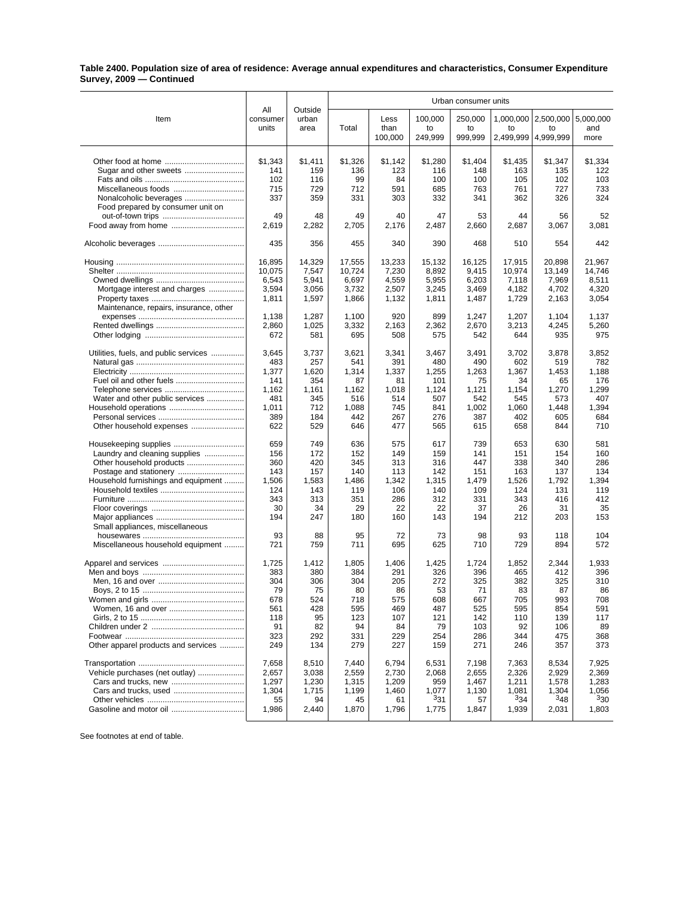## **Table 2400. Population size of area of residence: Average annual expenditures and characteristics, Consumer Expenditure Survey, 2009 — Continued**

|                                        |                 |                  | Urban consumer units |                |                |                |                |                       |                |  |
|----------------------------------------|-----------------|------------------|----------------------|----------------|----------------|----------------|----------------|-----------------------|----------------|--|
| Item                                   | All<br>consumer | Outside<br>urban |                      | Less           | 100,000        | 250,000        |                | 1,000,000   2,500,000 | 5,000,000      |  |
|                                        | units           | area             | Total                | than           | to             | to             | to             | to                    | and            |  |
|                                        |                 |                  |                      | 100,000        | 249,999        | 999,999        | 2,499,999      | 4,999,999             | more           |  |
|                                        |                 |                  |                      |                |                |                |                |                       |                |  |
|                                        | \$1,343<br>141  | \$1,411<br>159   | \$1,326<br>136       | \$1,142<br>123 | \$1,280<br>116 | \$1,404<br>148 | \$1,435<br>163 | \$1,347<br>135        | \$1,334<br>122 |  |
|                                        | 102             | 116              | 99                   | 84             | 100            | 100            | 105            | 102                   | 103            |  |
| Miscellaneous foods                    | 715             | 729              | 712                  | 591            | 685            | 763            | 761            | 727                   | 733            |  |
| Nonalcoholic beverages                 | 337             | 359              | 331                  | 303            | 332            | 341            | 362            | 326                   | 324            |  |
| Food prepared by consumer unit on      |                 |                  |                      |                |                |                |                |                       |                |  |
|                                        | 49              | 48               | 49                   | 40             | 47             | 53             | 44             | 56                    | 52             |  |
| Food away from home                    | 2,619           | 2,282            | 2,705                | 2,176          | 2,487          | 2,660          | 2,687          | 3,067                 | 3,081          |  |
|                                        | 435             | 356              | 455                  | 340            | 390            | 468            | 510            | 554                   | 442            |  |
|                                        | 16,895          | 14,329           | 17,555               | 13,233         | 15,132         | 16,125         | 17,915         | 20,898                | 21,967         |  |
|                                        | 10,075          | 7,547            | 10,724               | 7,230          | 8,892          | 9,415          | 10,974         | 13,149                | 14,746         |  |
|                                        | 6,543           | 5,941            | 6,697                | 4,559          | 5,955          | 6,203          | 7,118          | 7,969                 | 8,511          |  |
| Mortgage interest and charges          | 3,594           | 3,056            | 3,732                | 2,507          | 3,245          | 3,469          | 4,182          | 4,702                 | 4,320          |  |
|                                        | 1,811           | 1,597            | 1,866                | 1,132          | 1,811          | 1,487          | 1,729          | 2,163                 | 3,054          |  |
| Maintenance, repairs, insurance, other |                 |                  |                      |                |                |                |                |                       |                |  |
|                                        | 1,138           | 1,287            | 1,100                | 920<br>2,163   | 899            | 1,247<br>2,670 | 1,207          | 1,104                 | 1,137          |  |
|                                        | 2,860<br>672    | 1,025<br>581     | 3,332<br>695         | 508            | 2,362<br>575   | 542            | 3,213<br>644   | 4,245<br>935          | 5,260<br>975   |  |
|                                        |                 |                  |                      |                |                |                |                |                       |                |  |
| Utilities, fuels, and public services  | 3,645           | 3,737            | 3,621                | 3,341          | 3,467          | 3,491          | 3,702          | 3,878                 | 3,852          |  |
|                                        | 483             | 257              | 541                  | 391            | 480            | 490            | 602            | 519                   | 782            |  |
|                                        | 1,377           | 1,620<br>354     | 1,314<br>87          | 1,337<br>81    | 1,255          | 1,263          | 1,367          | 1,453<br>65           | 1,188<br>176   |  |
|                                        | 141<br>1,162    | 1,161            | 1,162                | 1,018          | 101<br>1,124   | 75<br>1,121    | 34<br>1,154    | 1,270                 | 1,299          |  |
| Water and other public services        | 481             | 345              | 516                  | 514            | 507            | 542            | 545            | 573                   | 407            |  |
|                                        | 1,011           | 712              | 1,088                | 745            | 841            | 1,002          | 1,060          | 1,448                 | 1,394          |  |
|                                        | 389             | 184              | 442                  | 267            | 276            | 387            | 402            | 605                   | 684            |  |
| Other household expenses               | 622             | 529              | 646                  | 477            | 565            | 615            | 658            | 844                   | 710            |  |
|                                        | 659             | 749              | 636                  | 575            | 617            | 739            | 653            | 630                   | 581            |  |
| Laundry and cleaning supplies          | 156             | 172              | 152                  | 149            | 159            | 141            | 151            | 154                   | 160            |  |
|                                        | 360             | 420              | 345                  | 313            | 316            | 447            | 338            | 340                   | 286            |  |
| Postage and stationery                 | 143             | 157              | 140                  | 113            | 142            | 151            | 163            | 137                   | 134            |  |
| Household furnishings and equipment    | 1,506           | 1,583            | 1,486                | 1,342          | 1,315          | 1,479          | 1,526          | 1,792                 | 1,394          |  |
|                                        | 124<br>343      | 143<br>313       | 119<br>351           | 106<br>286     | 140<br>312     | 109<br>331     | 124<br>343     | 131<br>416            | 119<br>412     |  |
|                                        | 30              | 34               | 29                   | 22             | 22             | 37             | 26             | 31                    | 35             |  |
|                                        | 194             | 247              | 180                  | 160            | 143            | 194            | 212            | 203                   | 153            |  |
| Small appliances, miscellaneous        |                 |                  |                      |                |                |                |                |                       |                |  |
|                                        | 93              | 88               | 95                   | 72             | 73             | 98             | 93             | 118                   | 104            |  |
| Miscellaneous household equipment      | 721             | 759              | 711                  | 695            | 625            | 710            | 729            | 894                   | 572            |  |
|                                        | 1,725           | 1,412            | 1,805                | 1,406          | 1,425          | 1,724          | 1,852          | 2,344                 | 1,933          |  |
|                                        | 383             | 380              | 384                  | 291            | 326            | 396            | 465            | 412                   | 396            |  |
|                                        | 304             | 306              | 304                  | 205            | 272            | 325            | 382            | 325                   | 310            |  |
|                                        | 79              | 75               | 80                   | 86             | 53             | 71             | 83             | 87                    | 86             |  |
| Women and girls                        | 678             | 524              | 718                  | 575            | 608            | 667            | 705            | 993                   | 708            |  |
|                                        | 561             | 428              | 595                  | 469            | 487            | 525            | 595            | 854                   | 591            |  |
|                                        | 118<br>91       | 95<br>82         | 123<br>94            | 107<br>84      | 121<br>79      | 142<br>103     | 110<br>92      | 139<br>106            | 117<br>89      |  |
|                                        | 323             | 292              | 331                  | 229            | 254            | 286            | 344            | 475                   | 368            |  |
| Other apparel products and services    | 249             | 134              | 279                  | 227            | 159            | 271            | 246            | 357                   | 373            |  |
|                                        | 7,658           | 8,510            | 7,440                | 6,794          | 6,531          | 7,198          | 7,363          | 8,534                 | 7,925          |  |
| Vehicle purchases (net outlay)         | 2,657           | 3,038            | 2,559                | 2,730          | 2,068          | 2,655          | 2,326          | 2,929                 | 2,369          |  |
|                                        | 1,297           | 1,230            | 1,315                | 1,209          | 959            | 1,467          | 1,211          | 1,578                 | 1,283          |  |
|                                        | 1,304           | 1,715            | 1,199                | 1,460          | 1,077          | 1,130          | 1,081          | 1,304                 | 1,056          |  |
|                                        | 55              | 94               | 45                   | 61             | 331            | 57             | 334            | $3_{48}$              | 330            |  |
| Gasoline and motor oil                 | 1,986           | 2,440            | 1,870                | 1,796          | 1,775          | 1,847          | 1,939          | 2,031                 | 1,803          |  |
|                                        |                 |                  |                      |                |                |                |                |                       |                |  |

See footnotes at end of table.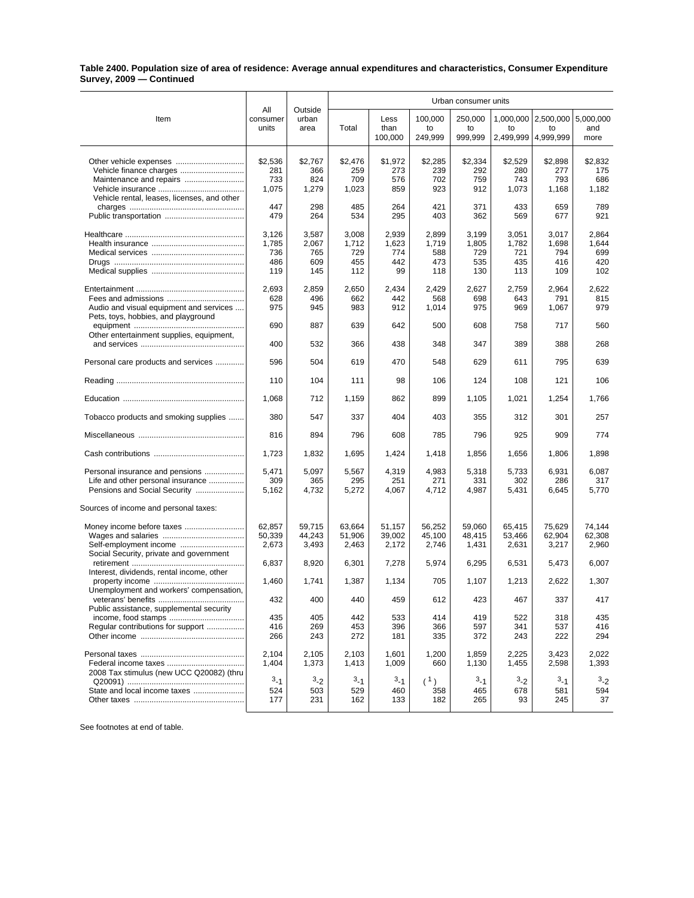## **Table 2400. Population size of area of residence: Average annual expenditures and characteristics, Consumer Expenditure Survey, 2009 — Continued**

|                                                                | All               |                          | Urban consumer units |              |               |               |            |                                         |            |  |
|----------------------------------------------------------------|-------------------|--------------------------|----------------------|--------------|---------------|---------------|------------|-----------------------------------------|------------|--|
| Item                                                           | consumer<br>units | Outside<br>urban<br>area | Total                | Less<br>than | 100,000<br>to | 250,000<br>to | to         | 1,000,000   2,500,000   5,000,000<br>to | and        |  |
|                                                                |                   |                          |                      | 100,000      | 249,999       | 999,999       | 2,499,999  | 4,999,999                               | more       |  |
|                                                                |                   |                          |                      |              |               |               |            |                                         |            |  |
| Other vehicle expenses                                         | \$2,536           | \$2,767                  | \$2,476              | \$1,972      | \$2,285       | \$2,334       | \$2,529    | \$2,898                                 | \$2,832    |  |
|                                                                | 281<br>733        | 366<br>824               | 259<br>709           | 273<br>576   | 239<br>702    | 292<br>759    | 280<br>743 | 277<br>793                              | 175<br>686 |  |
|                                                                |                   |                          |                      |              |               |               |            |                                         |            |  |
| Vehicle rental, leases, licenses, and other                    | 1,075             | 1,279                    | 1,023                | 859          | 923           | 912           | 1,073      | 1,168                                   | 1,182      |  |
|                                                                | 447               | 298                      | 485                  | 264          | 421           | 371           | 433        | 659                                     | 789        |  |
|                                                                | 479               | 264                      | 534                  | 295          | 403           | 362           | 569        | 677                                     | 921        |  |
|                                                                | 3,126             | 3,587                    | 3,008                | 2,939        | 2,899         | 3,199         | 3,051      | 3,017                                   | 2,864      |  |
|                                                                | 1,785             | 2,067                    | 1,712                | 1,623        | 1,719         | 1,805         | 1,782      | 1,698                                   | 1,644      |  |
|                                                                | 736               | 765                      | 729                  | 774          | 588           | 729           | 721        | 794                                     | 699        |  |
|                                                                | 486               | 609                      | 455                  | 442          | 473           | 535           | 435        | 416                                     | 420        |  |
|                                                                | 119               | 145                      | 112                  | 99           | 118           | 130           | 113        | 109                                     | 102        |  |
|                                                                | 2,693             | 2,859                    | 2,650                | 2,434        | 2,429         | 2,627         | 2,759      | 2,964                                   | 2,622      |  |
|                                                                | 628               | 496                      | 662                  | 442          | 568           | 698           | 643        | 791                                     | 815        |  |
| Audio and visual equipment and services                        | 975               | 945                      | 983                  | 912          | 1,014         | 975           | 969        | 1,067                                   | 979        |  |
| Pets, toys, hobbies, and playground                            | 690               | 887                      | 639                  | 642          | 500           | 608           | 758        | 717                                     | 560        |  |
| Other entertainment supplies, equipment,                       |                   |                          |                      |              |               |               |            |                                         |            |  |
|                                                                | 400               | 532                      | 366                  | 438          | 348           | 347           | 389        | 388                                     | 268        |  |
| Personal care products and services                            | 596               | 504                      | 619                  | 470          | 548           | 629           | 611        | 795                                     | 639        |  |
|                                                                | 110               | 104                      | 111                  | 98           | 106           | 124           | 108        | 121                                     | 106        |  |
|                                                                | 1,068             | 712                      | 1,159                | 862          | 899           | 1,105         | 1,021      | 1,254                                   | 1.766      |  |
| Tobacco products and smoking supplies                          | 380               | 547                      | 337                  | 404          | 403           | 355           | 312        | 301                                     | 257        |  |
|                                                                | 816               | 894                      | 796                  | 608          | 785           | 796           | 925        | 909                                     | 774        |  |
|                                                                | 1,723             | 1,832                    | 1,695                | 1,424        | 1,418         | 1,856         | 1,656      | 1,806                                   | 1,898      |  |
| Personal insurance and pensions                                | 5,471             | 5,097                    | 5,567                | 4,319        | 4,983         | 5,318         | 5,733      | 6,931                                   | 6,087      |  |
| Life and other personal insurance                              | 309               | 365                      | 295                  | 251          | 271           | 331           | 302        | 286                                     | 317        |  |
| Pensions and Social Security                                   | 5,162             | 4,732                    | 5,272                | 4,067        | 4,712         | 4,987         | 5,431      | 6,645                                   | 5,770      |  |
| Sources of income and personal taxes:                          |                   |                          |                      |              |               |               |            |                                         |            |  |
| Money income before taxes                                      | 62,857            | 59,715                   | 63,664               | 51,157       | 56,252        | 59,060        | 65,415     | 75,629                                  | 74,144     |  |
|                                                                | 50,339            | 44,243                   | 51,906               | 39,002       | 45,100        | 48,415        | 53,466     | 62,904                                  | 62,308     |  |
|                                                                | 2,673             | 3,493                    | 2,463                | 2,172        | 2,746         | 1,431         | 2,631      | 3,217                                   | 2,960      |  |
| Social Security, private and government                        |                   |                          |                      |              |               |               |            |                                         |            |  |
|                                                                | 6,837             | 8,920                    | 6,301                | 7,278        | 5,974         | 6,295         | 6,531      | 5,473                                   | 6,007      |  |
| Interest, dividends, rental income, other                      |                   |                          |                      |              |               |               |            |                                         |            |  |
|                                                                | 1,460             | 1,741                    | 1,387                | 1,134        | 705           | 1,107         | 1,213      | 2,622                                   | 1,307      |  |
| Unemployment and workers' compensation,                        |                   |                          |                      |              |               |               |            |                                         |            |  |
| veterans' benefits<br>Public assistance, supplemental security | 432               | 400                      | 440                  | 459          | 612           | 423           | 467        | 337                                     | 417        |  |
|                                                                | 435               | 405                      | 442                  | 533          | 414           | 419           | 522        | 318                                     | 435        |  |
| Regular contributions for support                              | 416               | 269                      | 453                  | 396          | 366           | 597           | 341        | 537                                     | 416        |  |
|                                                                | 266               | 243                      | 272                  | 181          | 335           | 372           | 243        | 222                                     | 294        |  |
|                                                                |                   |                          |                      |              |               |               |            |                                         |            |  |
|                                                                | 2,104             | 2,105                    | 2,103                | 1,601        | 1,200         | 1,859         | 2,225      | 3,423                                   | 2,022      |  |
|                                                                | 1,404             | 1,373                    | 1,413                | 1,009        | 660           | 1,130         | 1,455      | 2,598                                   | 1,393      |  |
| 2008 Tax stimulus (new UCC Q20082) (thru                       |                   |                          |                      |              |               |               |            |                                         |            |  |
|                                                                | $3 - 1$           | $3-2$                    | $3 - 1$              | 3.1          | (1)           | $3 - 1$       | 3.2        | 3.1                                     | $3-2$      |  |
|                                                                | 524               | 503                      | 529                  | 460          | 358           | 465           | 678<br>93  | 581                                     | 594        |  |
|                                                                | 177               | 231                      | 162                  | 133          | 182           | 265           |            | 245                                     | 37         |  |

See footnotes at end of table.